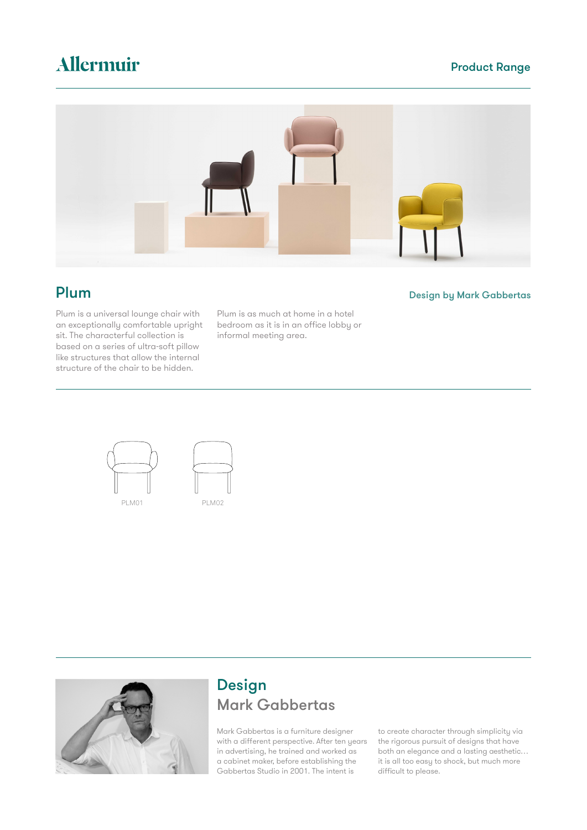### Product Range

# Allermuir



Plum is a universal lounge chair with an exceptionally comfortable upright sit. The characterful collection is based on a series of ultra-soft pillow like structures that allow the internal structure of the chair to be hidden.

Plum is as much at home in a hotel bedroom as it is in an office lobby or informal meeting area.





### Design Mark Gabbertas

Mark Gabbertas is a furniture designer with a different perspective. After ten years in advertising, he trained and worked as a cabinet maker, before establishing the Gabbertas Studio in 2001. The intent is

to create character through simplicity via the rigorous pursuit of designs that have both an elegance and a lasting aesthetic… it is all too easy to shock, but much more difficult to please.

### **Plum** Design by Mark Gabbertas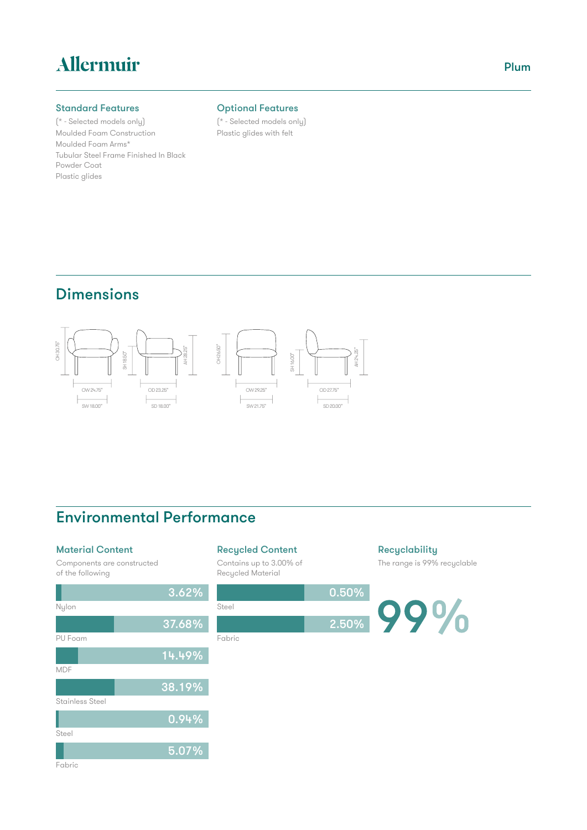# Allermuir

#### Standard Features

(\* - Selected models only) Moulded Foam Construction Moulded Foam Arms\* Tubular Steel Frame Finished In Black Powder Coat Plastic glides

#### Optional Features

(\* - Selected models only) Plastic glides with felt

## Dimensions



## Environmental Performance

#### Material Content

Components are constructed of the following



### Recycled Content

Contains up to 3.00% of Recycled Material



#### **Recyclability** The range is 99% recyclable

99%

### Plum